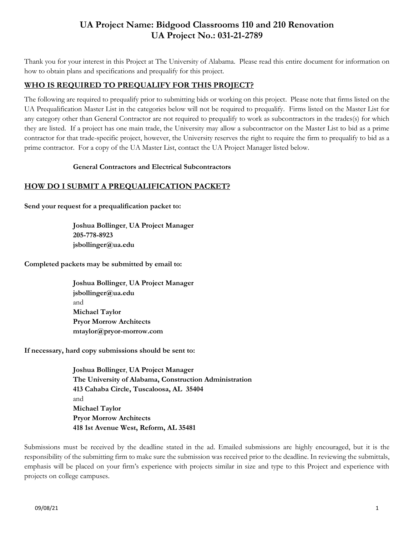# **UA Project Name: Bidgood Classrooms 110 and 210 Renovation UA Project No.: 031-21-2789**

Thank you for your interest in this Project at The University of Alabama. Please read this entire document for information on how to obtain plans and specifications and prequalify for this project.

## **WHO IS REQUIRED TO PREQUALIFY FOR THIS PROJECT?**

The following are required to prequalify prior to submitting bids or working on this project. Please note that firms listed on the UA Prequalification Master List in the categories below will not be required to prequalify. Firms listed on the Master List for any category other than General Contractor are not required to prequalify to work as subcontractors in the trades(s) for which they are listed. If a project has one main trade, the University may allow a subcontractor on the Master List to bid as a prime contractor for that trade-specific project, however, the University reserves the right to require the firm to prequalify to bid as a prime contractor. For a copy of the UA Master List, contact the UA Project Manager listed below.

### **General Contractors and Electrical Subcontractors**

### **HOW DO I SUBMIT A PREQUALIFICATION PACKET?**

**Send your request for a prequalification packet to:** 

**Joshua Bollinger**, **UA Project Manager 205-778-8923 jsbollinger@ua.edu**

**Completed packets may be submitted by email to:** 

**Joshua Bollinger**, **UA Project Manager jsbollinger@ua.edu** and **Michael Taylor Pryor Morrow Architects mtaylor@pryor-morrow.com**

**If necessary, hard copy submissions should be sent to:**

**Joshua Bollinger**, **UA Project Manager The University of Alabama, Construction Administration 413 Cahaba Circle, Tuscaloosa, AL 35404** and **Michael Taylor Pryor Morrow Architects 418 1st Avenue West, Reform, AL 35481**

Submissions must be received by the deadline stated in the ad. Emailed submissions are highly encouraged, but it is the responsibility of the submitting firm to make sure the submission was received prior to the deadline. In reviewing the submittals, emphasis will be placed on your firm's experience with projects similar in size and type to this Project and experience with projects on college campuses.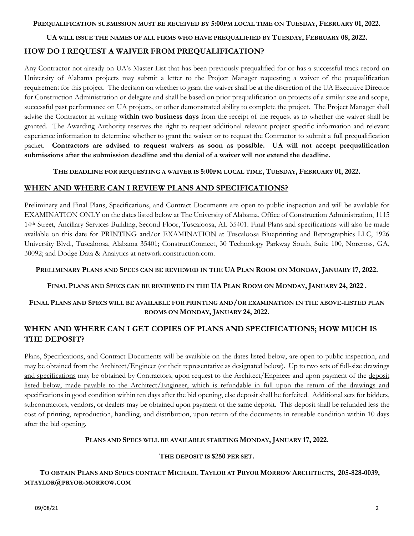#### **PREQUALIFICATION SUBMISSION MUST BE RECEIVED BY 5:00PM LOCAL TIME ON TUESDAY, FEBRUARY 01, 2022.**

#### **UA WILL ISSUE THE NAMES OF ALL FIRMS WHO HAVE PREQUALIFIED BY TUESDAY, FEBRUARY 08, 2022.**

### **HOW DO I REQUEST A WAIVER FROM PREQUALIFICATION?**

Any Contractor not already on UA's Master List that has been previously prequalified for or has a successful track record on University of Alabama projects may submit a letter to the Project Manager requesting a waiver of the prequalification requirement for this project. The decision on whether to grant the waiver shall be at the discretion of the UA Executive Director for Construction Administration or delegate and shall be based on prior prequalification on projects of a similar size and scope, successful past performance on UA projects, or other demonstrated ability to complete the project. The Project Manager shall advise the Contractor in writing **within two business days** from the receipt of the request as to whether the waiver shall be granted. The Awarding Authority reserves the right to request additional relevant project specific information and relevant experience information to determine whether to grant the waiver or to request the Contractor to submit a full prequalification packet. **Contractors are advised to request waivers as soon as possible. UA will not accept prequalification submissions after the submission deadline and the denial of a waiver will not extend the deadline.**

#### **THE DEADLINE FOR REQUESTING A WAIVER IS 5:00PM LOCAL TIME, TUESDAY, FEBRUARY 01, 2022.**

### **WHEN AND WHERE CAN I REVIEW PLANS AND SPECIFICATIONS?**

Preliminary and Final Plans, Specifications, and Contract Documents are open to public inspection and will be available for EXAMINATION ONLY on the dates listed below at The University of Alabama, Office of Construction Administration, 1115 14th Street, Ancillary Services Building, Second Floor, Tuscaloosa, AL 35401. Final Plans and specifications will also be made available on this date for PRINTING and/or EXAMINATION at Tuscaloosa Blueprinting and Reprographics LLC, 1926 University Blvd., Tuscaloosa, Alabama 35401; ConstructConnect, 30 Technology Parkway South, Suite 100, Norcross, GA, 30092; and Dodge Data & Analytics at network.construction.com.

#### PRELIMINARY PLANS AND SPECS CAN BE REVIEWED IN THE UA PLAN ROOM ON MONDAY, JANUARY 17, 2022.

### FINAL PLANS AND SPECS CAN BE REVIEWED IN THE UA PLAN ROOM ON MONDAY, JANUARY 24, 2022.

### **FINAL PLANS AND SPECS WILL BE AVAILABLE FOR PRINTING AND/OR EXAMINATION IN THE ABOVE-LISTED PLAN ROOMS ON MONDAY, JANUARY 24, 2022.**

## **WHEN AND WHERE CAN I GET COPIES OF PLANS AND SPECIFICATIONS; HOW MUCH IS THE DEPOSIT?**

Plans, Specifications, and Contract Documents will be available on the dates listed below, are open to public inspection, and may be obtained from the Architect/Engineer (or their representative as designated below). Up to two sets of full-size drawings and specifications may be obtained by Contractors, upon request to the Architect/Engineer and upon payment of the deposit listed below, made payable to the Architect/Engineer, which is refundable in full upon the return of the drawings and specifications in good condition within ten days after the bid opening, else deposit shall be forfeited. Additional sets for bidders, subcontractors, vendors, or dealers may be obtained upon payment of the same deposit. This deposit shall be refunded less the cost of printing, reproduction, handling, and distribution, upon return of the documents in reusable condition within 10 days after the bid opening.

#### **PLANS AND SPECS WILL BE AVAILABLE STARTING MONDAY, JANUARY 17, 2022.**

### **THE DEPOSIT IS \$250 PER SET.**

## TO OBTAIN PLANS AND SPECS CONTACT MICHAEL TAYLOR AT PRYOR MORROW ARCHITECTS, 205-828-0039, **MTAYLOR@PRYOR-MORROW.COM**